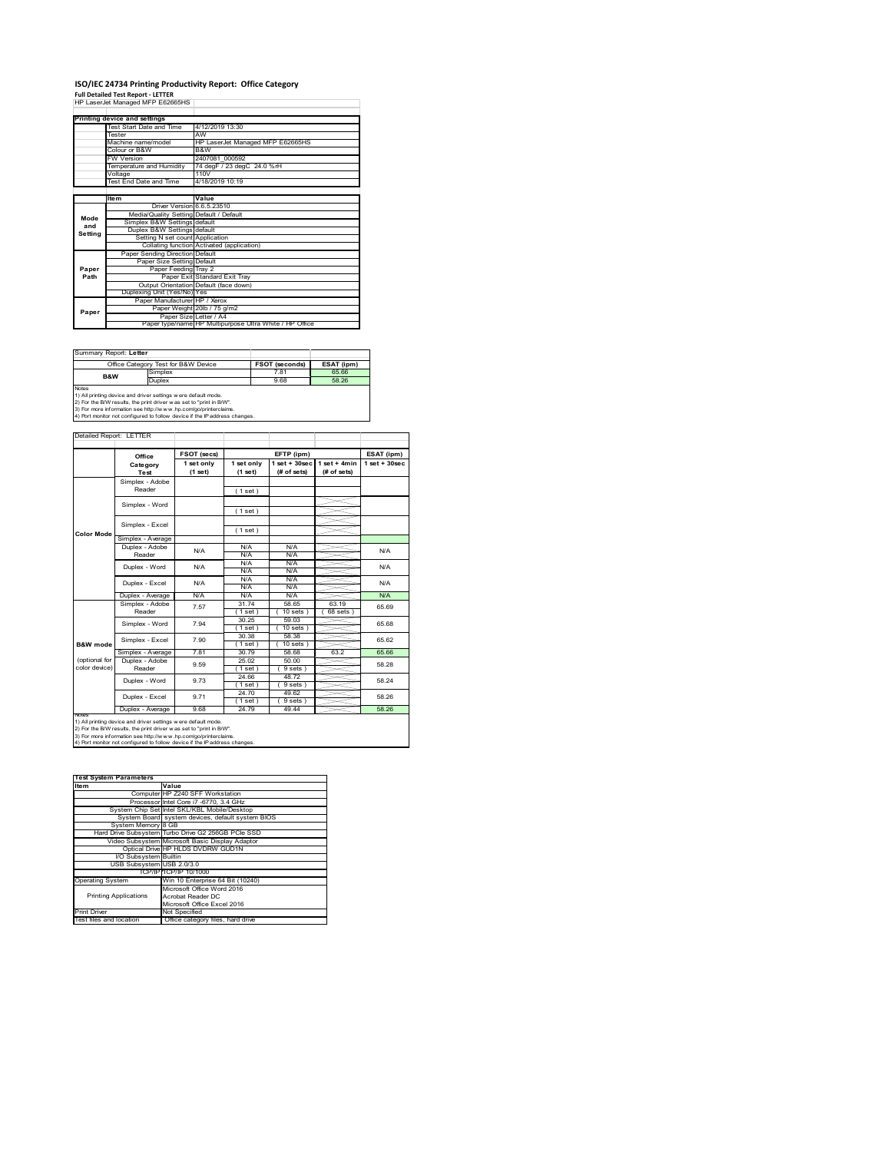# **ISO/IEC 24734 Printing Productivity Report: Office Category**

**Full Detailed Test Report ‐ LETTER** HP LaserJet Managed MFP E62665HS

|         | Printing device and settings            |                                                         |
|---------|-----------------------------------------|---------------------------------------------------------|
|         | Test Start Date and Time                | 4/12/2019 13:30                                         |
|         | <b>Tester</b>                           | AW                                                      |
|         | Machine name/model                      | HP LaserJet Managed MFP E62665HS                        |
|         | Colour or B&W                           | B&W                                                     |
|         | <b>FW Version</b>                       | 2407081 000592                                          |
|         | Temperature and Humidity                | 74 degF / 23 degC 24.0 %rH                              |
|         | Voltage                                 | 110V                                                    |
|         | <b>Test End Date and Time</b>           | 4/18/2019 10:19                                         |
|         |                                         |                                                         |
|         | Item                                    | Value                                                   |
|         | Driver Version 6.6.5.23510              |                                                         |
| Mode    | Media/Quality Setting Default / Default |                                                         |
| and     | Simplex B&W Settings default            |                                                         |
| Settina | Duplex B&W Settings default             |                                                         |
|         | Setting N set count Application         |                                                         |
|         |                                         | Collating function Activated (application)              |
|         | Paper Sending Direction Default         |                                                         |
|         | Paper Size Setting Default              |                                                         |
| Paper   | Paper Feeding Tray 2                    |                                                         |
| Path    |                                         | Paper Exit Standard Exit Tray                           |
|         |                                         | Output Orientation Default (face down)                  |
|         | Duplexing Unit (Yes/No) Yes             |                                                         |
|         | Paper Manufacturer HP / Xerox           |                                                         |
| Paper   |                                         | Paper Weight 20lb / 75 g/m2                             |
|         | Paper Size Letter / A4                  |                                                         |
|         |                                         | Paper type/name HP Multipurpose Ultra White / HP Office |

| Summary Report: Letter                                                                                                                                                                                                                                                                                         |                                     |                       |            |  |
|----------------------------------------------------------------------------------------------------------------------------------------------------------------------------------------------------------------------------------------------------------------------------------------------------------------|-------------------------------------|-----------------------|------------|--|
|                                                                                                                                                                                                                                                                                                                | Office Category Test for B&W Device | <b>FSOT (seconds)</b> | ESAT (ipm) |  |
| <b>B&amp;W</b>                                                                                                                                                                                                                                                                                                 | Simplex                             | 781                   | 65.66      |  |
|                                                                                                                                                                                                                                                                                                                | Duplex                              |                       | 58.26      |  |
| 9.68<br><b>Notes</b><br>1) All printing device and driver settings w ere default mode.<br>2) For the B/W results, the print driver was set to "print in B/W".<br>3) For more information see http://www.hp.com/go/printerclaims.<br>4) Port monitor not configured to follow device if the IP address changes. |                                     |                       |            |  |

ailed Report: LETTER **FSOT (secs) ESAT (ipm) EFTP (ipm) Office 1 set + 30sec 1 set only (1 set) 1 set only (1 set) 1 set + 30sec (# of sets) 1 set + 4min (# of sets) Category Test** Simplex - Adobe Reader ( 1 set ) Simplex - Word ( 1 set ) Simplex - Excel ( 1 set ) **Color Mode** Simplex - Average Duplex - Adobe N/A  $N/f$ N/A Reader N/A N/A N/A N/A Duplex - Word N/A N/A N/A N/A N/A N/A Duplex - Excel N/A N/A N/A N/.<br>N/A N/. Duplex - Average N/A N/A N/A N/A Simplex - Adobe Reader 7.57 65.69 31.74 58.65 63.19 10 sets ) ( 68 sets ) 30.25 59.03 65.68 Simplex - Word 7.94 ( 1 set ) ( 10 sets ) 30.38 58.38 Simplex - Excel 7.90 65.62 **B&W** mod 1 set ) ( 10 set<br>30.79 58.68 Simplex - Average 7.81 30.79 58.68 63.2 65.66<br>
Duplex - Adobe 9.59 2.5.02 50.00 58.28<br>
Reader 9.59 (1 set ) 9 sets 58.28 (optional for color device) 25.02 50.00<br>(1 set) (9 sets 9.59  $\frac{25.02}{10.00}$  58.28 ( 1 set ) ( 9 sets ) 24.66 48.72 Duplex - Word 9.73 58.24  $\frac{(1 \text{ set})}{24.70}$ <br> $\frac{(1 \text{ set})}{24.79}$  $( 9 \text{ sets } )$ <br> $49.62$ ∖⊯ 9.71 58.26 Duplex - Excel  $(9$  set<br> $49.44$ Duplex - Average 9.68 24.79 49.44 notes<br>1) All printing device and driver settings were default mode.<br>2) For the B/W results, the print driver was set to "print in B/W".<br>3) For more information see http://www.hp.com/go/printerclaims.<br>4) Por moralitor not c

| <b>Test System Parameters</b> |                                                    |  |  |  |
|-------------------------------|----------------------------------------------------|--|--|--|
| Item                          | Value                                              |  |  |  |
|                               | Computer HP Z240 SFF Workstation                   |  |  |  |
|                               | Processor Intel Core i7 -6770, 3.4 GHz             |  |  |  |
|                               | System Chip Set Intel SKL/KBL Mobile/Desktop       |  |  |  |
|                               | System Board system devices, default system BIOS   |  |  |  |
| System Memory 8 GB            |                                                    |  |  |  |
|                               | Hard Drive Subsystem Turbo Drive G2 256GB PCIe SSD |  |  |  |
|                               | Video Subsystem Microsoft Basic Display Adaptor    |  |  |  |
|                               | Optical Drive HP HLDS DVDRW GUD1N                  |  |  |  |
| I/O Subsystem Builtin         |                                                    |  |  |  |
| USB Subsystem USB 2.0/3.0     |                                                    |  |  |  |
|                               | TCP/IP TCP/IP 10/1000                              |  |  |  |
| <b>Operating System</b>       | Win 10 Enterprise 64 Bit (10240)                   |  |  |  |
|                               | Microsoft Office Word 2016                         |  |  |  |
| <b>Printing Applications</b>  | Acrobat Reader DC                                  |  |  |  |
|                               | Microsoft Office Excel 2016                        |  |  |  |
| <b>Print Driver</b>           | Not Specified                                      |  |  |  |
| Test files and location       | Office category files, hard drive                  |  |  |  |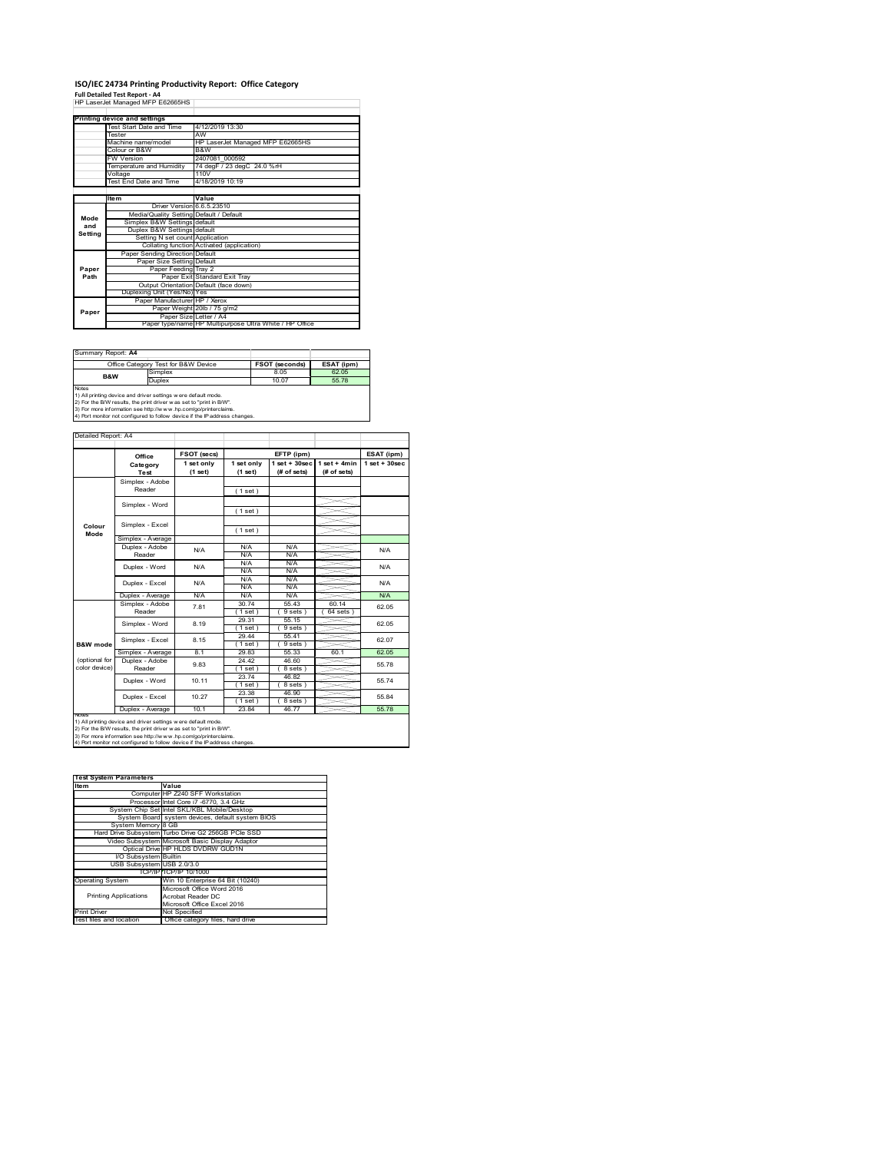#### **ISO/IEC 24734 Printing Productivity Report: Office Category Full Detailed Test Report ‐ A4**

|  | HP LaserJet Managed MFP E62665HS |  |
|--|----------------------------------|--|
|  |                                  |  |

|         | Printing device and settings            |                                                         |  |  |
|---------|-----------------------------------------|---------------------------------------------------------|--|--|
|         | Test Start Date and Time                | 4/12/2019 13:30                                         |  |  |
|         | <b>Tester</b>                           | AW                                                      |  |  |
|         | Machine name/model                      | HP LaserJet Managed MFP E62665HS                        |  |  |
|         | Colour or B&W                           | B&W                                                     |  |  |
|         | <b>FW Version</b>                       | 2407081 000592                                          |  |  |
|         | Temperature and Humidity                | 74 degF / 23 degC 24.0 %rH                              |  |  |
|         | Voltage                                 | 110V                                                    |  |  |
|         | Test End Date and Time                  | 4/18/2019 10:19                                         |  |  |
|         |                                         |                                                         |  |  |
|         | <b>Item</b>                             | Value                                                   |  |  |
|         | Driver Version 6.6.5.23510              |                                                         |  |  |
| Mode    | Media/Quality Setting Default / Default |                                                         |  |  |
| and     | Simplex B&W Settings default            |                                                         |  |  |
| Setting | Duplex B&W Settings default             |                                                         |  |  |
|         | Setting N set count Application         |                                                         |  |  |
|         |                                         | Collating function Activated (application)              |  |  |
|         | Paper Sending Direction Default         |                                                         |  |  |
|         | Paper Size Setting Default              |                                                         |  |  |
| Paper   | Paper Feeding Tray 2                    |                                                         |  |  |
| Path    |                                         | Paper Exit Standard Exit Tray                           |  |  |
|         |                                         | Output Orientation Default (face down)                  |  |  |
|         | Duplexing Unit (Yes/No) Yes             |                                                         |  |  |
|         | Paper Manufacturer HP / Xerox           |                                                         |  |  |
| Paper   |                                         | Paper Weight 20lb / 75 g/m2                             |  |  |
|         | Paper Size Letter / A4                  |                                                         |  |  |
|         |                                         | Paper type/name HP Multipurpose Ultra White / HP Office |  |  |

Summary Report: **A4**

| ------------------------- |                                                                                                                                                                                                                                                                                       |       |            |  |
|---------------------------|---------------------------------------------------------------------------------------------------------------------------------------------------------------------------------------------------------------------------------------------------------------------------------------|-------|------------|--|
|                           | Office Category Test for B&W Device                                                                                                                                                                                                                                                   |       | ESAT (ipm) |  |
| <b>B&amp;W</b>            | Simplex                                                                                                                                                                                                                                                                               | 8.05  | 62.05      |  |
|                           | Duplex                                                                                                                                                                                                                                                                                | 10.07 | 55.78      |  |
| <b>Notes</b>              | 1) All printing device and driver settings were default mode.<br>2) For the B/W results, the print driver was set to "print in B/W".<br>3) For more information see http://www.hp.com/go/printerclaims.<br>4) Port monitor not configured to follow device if the IP address changes. |       |            |  |

**FSOT (secs) ESAT (ipm) EFTP (ipm) Office 1 set only (1 set) 1 set only (1 set) 1 set + 30sec (# of sets) 1 set + 4min (# of sets) 1 set + 30sec** ( 1 set ) ( 1 set ) ( 1 set ) Simplex - Average Duplex - Adobe  $N/f$ N/A N/A N/A N/A N/A N/A<br>N/A N/A<br>N/A N/A Puplex - Average N/A N/A N/A N/A N/A N/A N/A<br>
Simplex - Adobe 7.81 30.74 55.43 60.14 62.0<br>
Reader 7.81 1986; 1986; 1986; 1986; 1986; 1986; 1986; 1986; 1986; 1986; 1986; 1986; 1986; 1986; 1986; 1986; 1 30.74 55.43 60.14  $(9 \text{ sets}) (64 \text{ sets})$ 29.31 55.15 ( 1 set ) ( 9 sets ) 29.44 55.41  $\frac{25.44}{1 \text{ set}}$  (9 sets<br>29.83 55.33 Simplex - Average 8.1 29.83 55.33 60.1 62.05<br>
Duplex - Adobe 9.83 24.42 46.60 55.78<br>
Reader 9.83 (1 set ) (8 sets) 55.78 24.42 46.60 ( 1 set ) ( 8 sets ) 23.74 46.82  $(8 \text{ sets})$ <br> $46.90$  $(1 \text{ set})$ <br> $23.38$ <br> $(1 \text{ set})$ <br> $23.84$  $(8 \text{ set}$   $46.7)$ Duplex - Average | 10.1 | 23.84 | 46.77 | <u>25.78</u> 55.78 10.27 Duplex - Word Duplex - Excel 55.74 55.84 10.11 9.83 N/A 62.05 62.05 62.07 55.78 N/A Simplex - Word 8.19 Duplex - Excel 7.81 notes<br>1) All printing device and driver settings were default mode.<br>2) For the B/W results, the print driver was set to "print in B/W".<br>3) For more information see http://www.hp.com/go/printerclaims.<br>4) Por moralitor not c **B&W** mod (optional for color device) **Colour Mode** Simplex - Adobe Reader Simplex - Excel Simplex - Word Simplex - Excel 8.15 Reader Duplex - Word ailed Report: A4 **Category Test** N/A  $N/A$   $N/A$   $N/A$   $N/A$   $N/A$ N/A

| <b>Test System Parameters</b> |                                                    |
|-------------------------------|----------------------------------------------------|
| Item                          | Value                                              |
|                               | Computer HP Z240 SFF Workstation                   |
|                               | Processor Intel Core i7 -6770, 3.4 GHz             |
|                               | System Chip Set Intel SKL/KBL Mobile/Desktop       |
|                               | System Board system devices, default system BIOS   |
| System Memory 8 GB            |                                                    |
|                               | Hard Drive Subsystem Turbo Drive G2 256GB PCle SSD |
|                               | Video Subsystem Microsoft Basic Display Adaptor    |
|                               | Optical Drive HP HLDS DVDRW GUD1N                  |
| I/O Subsystem Builtin         |                                                    |
| USB Subsystem USB 2.0/3.0     |                                                    |
|                               | TCP/IPITCP/IP 10/1000                              |
| <b>Operating System</b>       | Win 10 Enterprise 64 Bit (10240)                   |
|                               | Microsoft Office Word 2016                         |
| <b>Printing Applications</b>  | Acrobat Reader DC                                  |
|                               | Microsoft Office Excel 2016                        |
| <b>Print Driver</b>           | Not Specified                                      |
| Test files and location       | Office category files, hard drive                  |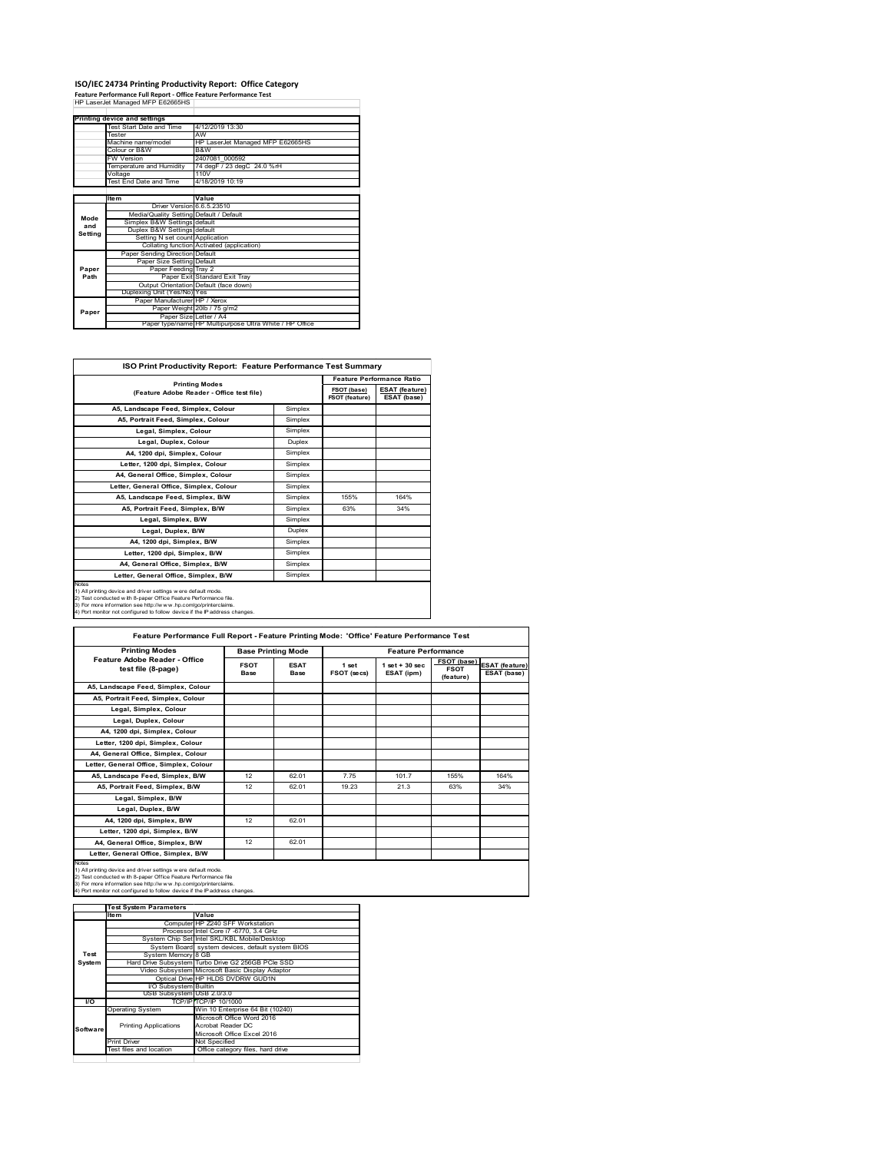# **ISO/IEC 24734 Printing Productivity Report: Office Category Feature Performance Full Report ‐ Office Feature Performance Test** HP LaserJet Managed MFP E62665HS

|         | Printing device and settings            |                                                         |
|---------|-----------------------------------------|---------------------------------------------------------|
|         | Test Start Date and Time                | 4/12/2019 13:30                                         |
|         | <b>Tester</b>                           | AW                                                      |
|         | Machine name/model                      | HP LaserJet Managed MFP E62665HS                        |
|         | Colour or B&W                           | B&W                                                     |
|         | <b>FW Version</b>                       | 2407081 000592                                          |
|         | Temperature and Humidity                | 74 degF / 23 degC 24.0 %rH                              |
|         | Voltage                                 | 110V                                                    |
|         | Test End Date and Time                  | 4/18/2019 10:19                                         |
|         |                                         |                                                         |
|         | <b>Item</b>                             | Value                                                   |
|         | Driver Version 6.6.5.23510              |                                                         |
| Mode    | Media/Quality Setting Default / Default |                                                         |
| and     | Simplex B&W Settings default            |                                                         |
| Setting | Duplex B&W Settings default             |                                                         |
|         | Setting N set count Application         |                                                         |
|         |                                         | Collating function Activated (application)              |
|         | Paper Sending Direction Default         |                                                         |
|         | Paper Size Setting Default              |                                                         |
| Paper   | Paper Feeding Tray 2                    |                                                         |
| Path    |                                         | Paper Exit Standard Exit Tray                           |
|         |                                         | Output Orientation Default (face down)                  |
|         | Duplexing Unit (Yes/No) Yes             |                                                         |
|         | Paper Manufacturer HP / Xerox           |                                                         |
| Paper   |                                         | Paper Weight 20lb / 75 g/m2                             |
|         | Paper Size Letter / A4                  |                                                         |
|         |                                         | Paper type/name HP Multipurpose Ultra White / HP Office |

| <b>ISO Print Productivity Report: Feature Performance Test Summary</b>                                                                                                                                                                                                                            |         |                                  |                                      |  |  |
|---------------------------------------------------------------------------------------------------------------------------------------------------------------------------------------------------------------------------------------------------------------------------------------------------|---------|----------------------------------|--------------------------------------|--|--|
|                                                                                                                                                                                                                                                                                                   |         | <b>Feature Performance Ratio</b> |                                      |  |  |
| <b>Printing Modes</b><br>(Feature Adobe Reader - Office test file)                                                                                                                                                                                                                                |         | FSOT (base)<br>FSOT (feature)    | <b>ESAT (feature)</b><br>ESAT (base) |  |  |
| A5. Landscape Feed. Simplex. Colour                                                                                                                                                                                                                                                               | Simplex |                                  |                                      |  |  |
| A5, Portrait Feed, Simplex, Colour                                                                                                                                                                                                                                                                | Simplex |                                  |                                      |  |  |
| Legal, Simplex, Colour                                                                                                                                                                                                                                                                            | Simplex |                                  |                                      |  |  |
| Legal, Duplex, Colour                                                                                                                                                                                                                                                                             | Duplex  |                                  |                                      |  |  |
| A4. 1200 dpi. Simplex. Colour                                                                                                                                                                                                                                                                     | Simplex |                                  |                                      |  |  |
| Letter, 1200 dpi, Simplex, Colour                                                                                                                                                                                                                                                                 | Simplex |                                  |                                      |  |  |
| A4, General Office, Simplex, Colour                                                                                                                                                                                                                                                               | Simplex |                                  |                                      |  |  |
| Letter, General Office, Simplex, Colour                                                                                                                                                                                                                                                           | Simplex |                                  |                                      |  |  |
| A5. Landscape Feed. Simplex, B/W                                                                                                                                                                                                                                                                  | Simplex | 155%                             | 164%                                 |  |  |
| A5. Portrait Feed. Simplex. B/W                                                                                                                                                                                                                                                                   | Simplex | 63%                              | 34%                                  |  |  |
| Legal, Simplex, B/W                                                                                                                                                                                                                                                                               | Simplex |                                  |                                      |  |  |
| Legal, Duplex, B/W                                                                                                                                                                                                                                                                                | Duplex  |                                  |                                      |  |  |
| A4, 1200 dpi, Simplex, B/W                                                                                                                                                                                                                                                                        | Simplex |                                  |                                      |  |  |
| Letter, 1200 dpi. Simplex, B/W                                                                                                                                                                                                                                                                    | Simplex |                                  |                                      |  |  |
| A4. General Office. Simplex. B/W                                                                                                                                                                                                                                                                  | Simplex |                                  |                                      |  |  |
| Letter, General Office, Simplex, B/W                                                                                                                                                                                                                                                              | Simplex |                                  |                                      |  |  |
| <b>Notes</b><br>1) All printing device and driver settings were default mode.<br>2) Test conducted with 8-paper Office Feature Performance file.<br>3) For more information see http://www.hp.com/go/printerclaims.<br>4) Port monitor not configured to follow device if the IP address changes. |         |                                  |                                      |  |  |

| <b>Printing Modes</b>                               | <b>Base Printing Mode</b> |                            |                      | <b>Feature Performance</b>      |                                         |                                      |
|-----------------------------------------------------|---------------------------|----------------------------|----------------------|---------------------------------|-----------------------------------------|--------------------------------------|
| Feature Adobe Reader - Office<br>test file (8-page) | <b>FSOT</b><br>Base       | <b>ESAT</b><br><b>Base</b> | 1 set<br>FSOT (secs) | $1$ set $+30$ sec<br>ESAT (ipm) | FSOT (base)<br><b>FSOT</b><br>(feature) | <b>ESAT</b> (feature)<br>ESAT (base) |
| A5, Landscape Feed, Simplex, Colour                 |                           |                            |                      |                                 |                                         |                                      |
| A5, Portrait Feed, Simplex, Colour                  |                           |                            |                      |                                 |                                         |                                      |
| Legal, Simplex, Colour                              |                           |                            |                      |                                 |                                         |                                      |
| Legal, Duplex, Colour                               |                           |                            |                      |                                 |                                         |                                      |
| A4. 1200 dpi. Simplex. Colour                       |                           |                            |                      |                                 |                                         |                                      |
| Letter, 1200 dpi, Simplex, Colour                   |                           |                            |                      |                                 |                                         |                                      |
| A4, General Office, Simplex, Colour                 |                           |                            |                      |                                 |                                         |                                      |
| Letter, General Office, Simplex, Colour             |                           |                            |                      |                                 |                                         |                                      |
| A5, Landscape Feed, Simplex, B/W                    | 12                        | 62 01                      | 7 75                 | 101.7                           | 155%                                    | 164%                                 |
| A5, Portrait Feed, Simplex, B/W                     | 12                        | 62 01                      | 19 23                | 21.3                            | 63%                                     | 34%                                  |
| Legal, Simplex, B/W                                 |                           |                            |                      |                                 |                                         |                                      |
| Legal, Duplex, B/W                                  |                           |                            |                      |                                 |                                         |                                      |
| A4. 1200 dpi. Simplex. B/W                          | 12                        | 62.01                      |                      |                                 |                                         |                                      |
| Letter, 1200 dpi, Simplex, B/W                      |                           |                            |                      |                                 |                                         |                                      |
| A4. General Office. Simplex. B/W                    | 12                        | 62.01                      |                      |                                 |                                         |                                      |
| Letter, General Office, Simplex, B/W                |                           |                            |                      |                                 |                                         |                                      |

1) All printing device and driver settings were default mode.<br>2) Test conducted with 8-paper Office Feature Performance file<br>3) For more information see http://www.hp.com/go/printerclaims.<br>4) Port monitor not configured to

|           | <b>Test System Parameters</b> |                                                    |
|-----------|-------------------------------|----------------------------------------------------|
|           | Item                          | Value                                              |
|           |                               | Computer HP Z240 SFF Workstation                   |
|           |                               | Processor Intel Core i7 -6770, 3.4 GHz             |
|           |                               | System Chip Set Intel SKL/KBL Mobile/Desktop       |
|           |                               | System Board system devices, default system BIOS   |
| Test      | System Memory 8 GB            |                                                    |
| System    |                               | Hard Drive Subsystem Turbo Drive G2 256GB PCle SSD |
|           |                               | Video Subsystem Microsoft Basic Display Adaptor    |
|           |                               | Optical Drive HP HLDS DVDRW GUD1N                  |
|           | <b>VO Subsystem Builtin</b>   |                                                    |
|           | USB Subsystem USB 2.0/3.0     |                                                    |
| <b>VO</b> |                               | TCP/IP/TCP/IP 10/1000                              |
|           | <b>Operating System</b>       | Win 10 Enterprise 64 Bit (10240)                   |
|           |                               | Microsoft Office Word 2016                         |
| Software  | <b>Printing Applications</b>  | Acrobat Reader DC                                  |
|           |                               | Microsoft Office Excel 2016                        |
|           | <b>Print Driver</b>           | Not Specified                                      |
|           | Test files and location       | Office category files, hard drive                  |
|           |                               |                                                    |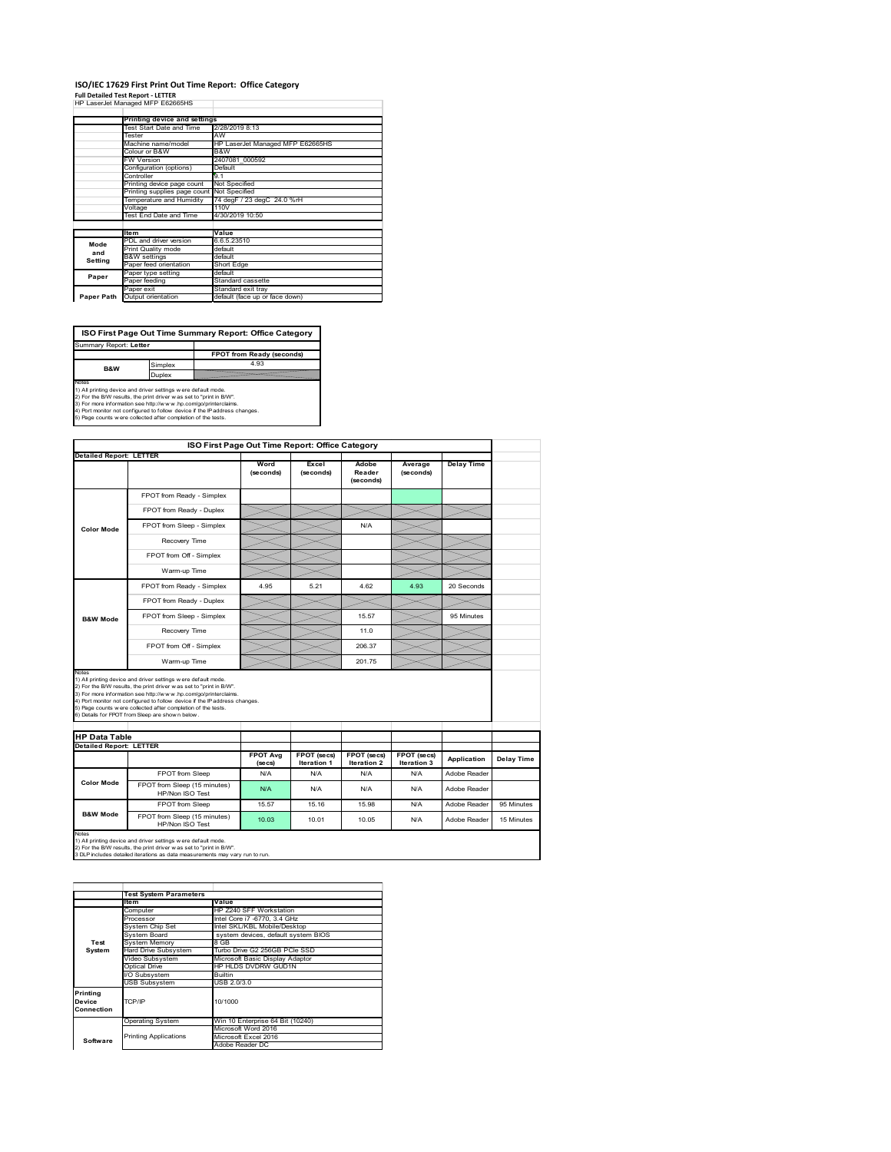## **ISO/IEC 17629 First Print Out Time Report: Office Category Full Detailed Test Report ‐ LETTER** HP LaserJet Managed MFP E62665HS

|            | III Lasciuctivianaged IVIII LUZUUJIIO |                                  |
|------------|---------------------------------------|----------------------------------|
|            | Printing device and settings          |                                  |
|            | Test Start Date and Time              | 2/28/2019 8:13                   |
|            | Tester                                | AW                               |
|            | Machine name/model                    | HP LaserJet Managed MFP E62665HS |
|            | Colour or B&W                         | B&W                              |
|            | <b>FW Version</b>                     | 2407081 000592                   |
|            | Configuration (options)               | Default                          |
|            | Controller                            | 9.1                              |
|            | Printing device page count            | Not Specified                    |
|            | Printing supplies page count          | Not Specified                    |
|            | Temperature and Humidity              | 74 degF / 23 degC 24.0 %rH       |
|            | Voltage                               | 110V                             |
|            | Test End Date and Time                | 4/30/2019 10:50                  |
|            |                                       |                                  |
|            | <b>Item</b>                           | Value                            |
| Mode       | PDL and driver version                | 6.6.5.23510                      |
| and        | Print Quality mode                    | default                          |
| Setting    | <b>B&amp;W</b> settings               | default                          |
|            | Paper feed orientation                | Short Edge                       |
| Paper      | Paper type setting                    | default                          |
|            | Paper feeding                         | Standard cassette                |
|            | Paper exit                            | Standard exit tray               |
| Paper Path | Output orientation                    | default (face up or face down)   |

**FPOT from Ready (seconds)**<br>Simplex 4.93 **ISO First Page Out Time Summary Report: Office Category** t: Letter **B&W**

**Duplex**<br>Notes<br>1) All printing device and driver settings were default mode.<br>2) For the BM results, the print driver was set to "print in BM".<br>4) For more information see http://www.hp.com/golprinterclaims.<br>4) Port monitor

|                                                                 |                                                                                                                                                                                                                                                                                                                                                                                                             | ISO First Page Out Time Report: Office Category |                    |                              |                      |                              |            |
|-----------------------------------------------------------------|-------------------------------------------------------------------------------------------------------------------------------------------------------------------------------------------------------------------------------------------------------------------------------------------------------------------------------------------------------------------------------------------------------------|-------------------------------------------------|--------------------|------------------------------|----------------------|------------------------------|------------|
| <b>Detailed Report: LETTER</b>                                  |                                                                                                                                                                                                                                                                                                                                                                                                             | Word<br>(seconds)                               | Excel<br>(seconds) | Adobe<br>Reader<br>(seconds) | Average<br>(seconds) | <b>Delay Time</b>            |            |
|                                                                 | FPOT from Ready - Simplex                                                                                                                                                                                                                                                                                                                                                                                   |                                                 |                    |                              |                      |                              |            |
|                                                                 | FPOT from Ready - Duplex                                                                                                                                                                                                                                                                                                                                                                                    |                                                 |                    |                              |                      |                              |            |
| <b>Color Mode</b>                                               | FPOT from Sleep - Simplex                                                                                                                                                                                                                                                                                                                                                                                   |                                                 |                    | N/A                          |                      |                              |            |
|                                                                 | Recovery Time                                                                                                                                                                                                                                                                                                                                                                                               |                                                 |                    |                              |                      |                              |            |
|                                                                 | FPOT from Off - Simplex                                                                                                                                                                                                                                                                                                                                                                                     |                                                 |                    |                              |                      |                              |            |
|                                                                 | Warm-up Time                                                                                                                                                                                                                                                                                                                                                                                                |                                                 |                    |                              |                      |                              |            |
|                                                                 | FPOT from Ready - Simplex                                                                                                                                                                                                                                                                                                                                                                                   | 4.95                                            | 5.21               | 4.62                         | 4.93                 | 20 Seconds                   |            |
|                                                                 | FPOT from Ready - Duplex                                                                                                                                                                                                                                                                                                                                                                                    |                                                 |                    |                              |                      |                              |            |
| <b>B&amp;W Mode</b>                                             | FPOT from Sleep - Simplex                                                                                                                                                                                                                                                                                                                                                                                   |                                                 |                    | 15.57                        |                      | 95 Minutes                   |            |
|                                                                 | Recovery Time                                                                                                                                                                                                                                                                                                                                                                                               |                                                 |                    | 11.0                         |                      |                              |            |
|                                                                 |                                                                                                                                                                                                                                                                                                                                                                                                             |                                                 |                    |                              |                      |                              |            |
|                                                                 | FPOT from Off - Simplex                                                                                                                                                                                                                                                                                                                                                                                     |                                                 |                    | 206.37                       |                      |                              |            |
|                                                                 | Warm-up Time                                                                                                                                                                                                                                                                                                                                                                                                |                                                 |                    | 201 75                       |                      |                              |            |
| Notes<br><b>HP Data Table</b><br><b>Detailed Report: LETTER</b> | 1) All printing device and driver settings w ere default mode.<br>2) For the B/W results, the print driver was set to "print in B/W".<br>3) For more information see http://www.hp.com/go/printerclaims.<br>4) Port monitor not configured to follow device if the IP address changes.<br>5) Page counts w ere collected after completion of the tests.<br>6) Details for FPOT from Sleep are show n below. | <b>FPOT Avg</b>                                 | FPOT (secs)        | FPOT (secs)                  | FPOT (secs)          |                              |            |
|                                                                 |                                                                                                                                                                                                                                                                                                                                                                                                             | (se cs)                                         | <b>Iteration 1</b> | <b>Iteration 2</b>           | Iteration 3          | Application                  | Delay Time |
| Color Mode                                                      | FPOT from Sleep<br>FPOT from Sleep (15 minutes)<br>HP/Non ISO Test                                                                                                                                                                                                                                                                                                                                          | N/A<br>N/A                                      | N/A<br>N/A         | N/A<br>N/A                   | N/A<br>N/A           | Adobe Reader<br>Adobe Reader |            |
|                                                                 | FPOT from Sleep                                                                                                                                                                                                                                                                                                                                                                                             | 15.57                                           | 15.16              | 15.98                        | N/A                  | Adobe Reader                 | 95 Minutes |

|                                  | <b>Test System Parameters</b> |                                     |
|----------------------------------|-------------------------------|-------------------------------------|
|                                  | <b>Item</b>                   | Value                               |
|                                  | Computer                      | HP Z240 SFF Workstation             |
|                                  | Processor                     | Intel Core i7 -6770, 3.4 GHz        |
|                                  | System Chip Set               | Intel SKL/KBL Mobile/Desktop        |
|                                  | System Board                  | system devices, default system BIOS |
| Test                             | <b>System Memory</b>          | 8 GB                                |
| System                           | Hard Drive Subsystem          | Turbo Drive G2 256GB PCle SSD       |
|                                  | Video Subsystem               | Microsoft Basic Display Adaptor     |
|                                  | Optical Drive                 | HP HLDS DVDRW GUD1N                 |
|                                  | I/O Subsystem                 | <b>Builtin</b>                      |
|                                  | <b>USB Subsystem</b>          | USB 2.0/3.0                         |
| Printing<br>Device<br>Connection | TCP/IP                        | 10/1000                             |
|                                  | <b>Operating System</b>       | Win 10 Enterprise 64 Bit (10240)    |
|                                  |                               | Microsoft Word 2016                 |
| Software                         | <b>Printing Applications</b>  | Microsoft Excel 2016                |
|                                  |                               | Adobe Reader DC                     |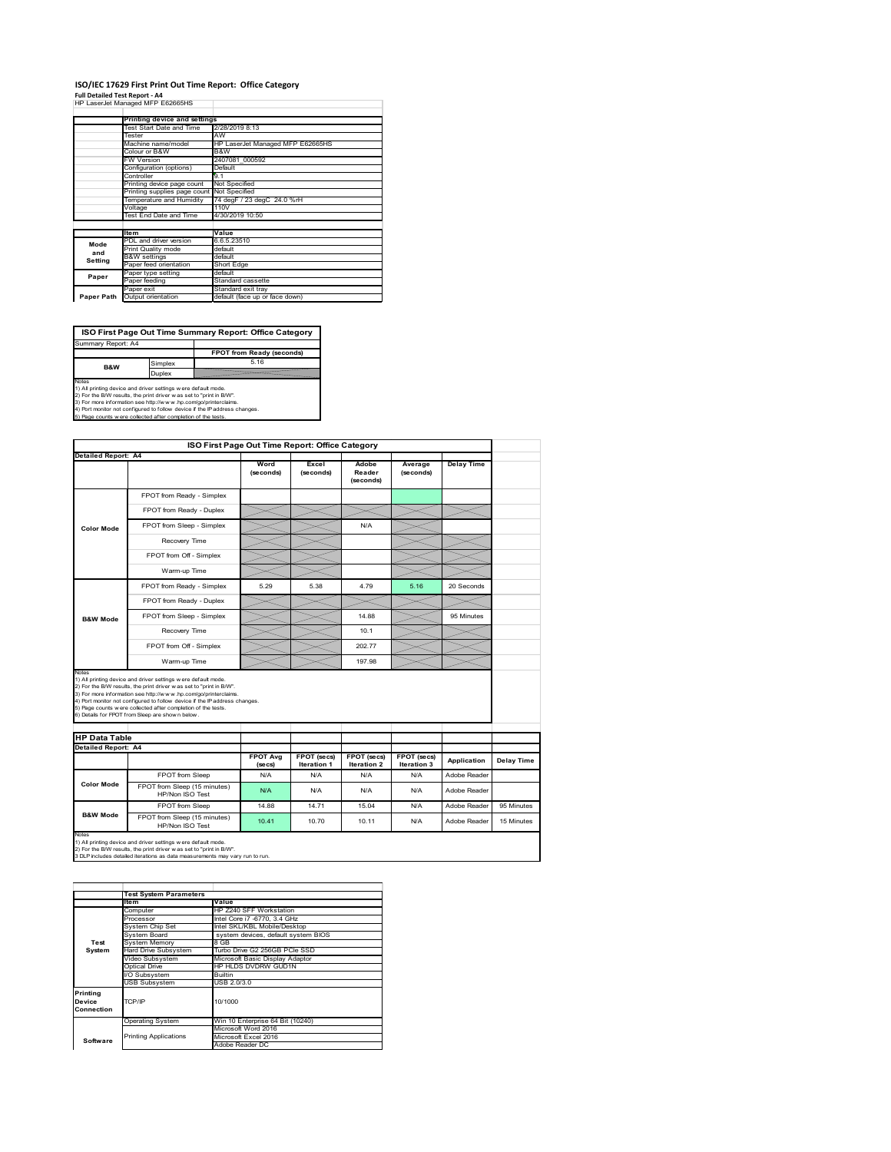#### **ISO/IEC 17629 First Print Out Time Report: Office Category**  $\overline{1}$

| Full Detailed Test Report - A4   |  |  |  |  |
|----------------------------------|--|--|--|--|
| HP LaserJet Managed MFP E62665HS |  |  |  |  |

|            | Printing device and settings |                                  |
|------------|------------------------------|----------------------------------|
|            | Test Start Date and Time     | 2/28/2019 8:13                   |
|            | Tester                       | AW                               |
|            | Machine name/model           | HP LaserJet Managed MFP E62665HS |
|            | Colour or B&W                | B&W                              |
|            | <b>FW Version</b>            | 2407081 000592                   |
|            | Configuration (options)      | Default                          |
|            | Controller                   | 9.1                              |
|            | Printing device page count   | Not Specified                    |
|            | Printing supplies page count | Not Specified                    |
|            | Temperature and Humidity     | 74 degF / 23 degC 24.0 %rH       |
|            | Voltage                      | 110V                             |
|            | Test End Date and Time       | 4/30/2019 10:50                  |
|            |                              |                                  |
|            | <b>Item</b>                  | Value                            |
| Mode       | PDL and driver version       | 6.6.5.23510                      |
| and        | Print Quality mode           | default                          |
| Setting    | <b>B&amp;W</b> settings      | default                          |
|            | Paper feed orientation       | Short Edge                       |
| Paper      | Paper type setting           | default                          |
|            | Paper feeding                | Standard cassette                |
|            | Paper exit                   | Standard exit tray               |
| Paper Path | Output orientation           | default (face up or face down)   |

٦

**ISO First Page Out Time Summary Report: Office Category**

**FPOT from Ready (seconds)** Simplex 5.16 **Duplex** Notes<br>1) All printing device and driver settings were default mode.<br>2) For the BAV results, the print driver was set to "print in BAV".<br>3) For more information see http://www.hp.com/golprinterclaims.<br>4) Port monitor not co Summary Report: A4 **B&W**

| FPOT from Ready - Simplex<br>FPOT from Ready - Duplex                                                                                                                                                                                                                                                                                                                                                       | Word<br>(seconds)          |                                   |                                   |                            |                   |            |
|-------------------------------------------------------------------------------------------------------------------------------------------------------------------------------------------------------------------------------------------------------------------------------------------------------------------------------------------------------------------------------------------------------------|----------------------------|-----------------------------------|-----------------------------------|----------------------------|-------------------|------------|
|                                                                                                                                                                                                                                                                                                                                                                                                             |                            | Excel<br>(seconds)                | Adobe<br>Reader<br>(seconds)      | Average<br>(seconds)       | <b>Delay Time</b> |            |
|                                                                                                                                                                                                                                                                                                                                                                                                             |                            |                                   |                                   |                            |                   |            |
|                                                                                                                                                                                                                                                                                                                                                                                                             |                            |                                   |                                   |                            |                   |            |
| FPOT from Sleep - Simplex                                                                                                                                                                                                                                                                                                                                                                                   |                            |                                   | N/A                               |                            |                   |            |
| Recovery Time                                                                                                                                                                                                                                                                                                                                                                                               |                            |                                   |                                   |                            |                   |            |
| FPOT from Off - Simplex                                                                                                                                                                                                                                                                                                                                                                                     |                            |                                   |                                   |                            |                   |            |
| Warm-up Time                                                                                                                                                                                                                                                                                                                                                                                                |                            |                                   |                                   |                            |                   |            |
| FPOT from Ready - Simplex                                                                                                                                                                                                                                                                                                                                                                                   | 5.29                       | 5.38                              | 4.79                              | 5.16                       | 20 Seconds        |            |
| FPOT from Ready - Duplex                                                                                                                                                                                                                                                                                                                                                                                    |                            |                                   |                                   |                            |                   |            |
| FPOT from Sleep - Simplex                                                                                                                                                                                                                                                                                                                                                                                   |                            |                                   | 14.88                             |                            | 95 Minutes        |            |
| Recovery Time                                                                                                                                                                                                                                                                                                                                                                                               |                            |                                   | 10.1                              |                            |                   |            |
| FPOT from Off - Simplex                                                                                                                                                                                                                                                                                                                                                                                     |                            |                                   | 202.77                            |                            |                   |            |
| Warm-up Time                                                                                                                                                                                                                                                                                                                                                                                                |                            |                                   | 197.98                            |                            |                   |            |
| 1) All printing device and driver settings w ere default mode.<br>2) For the B/W results, the print driver was set to "print in B/W".<br>3) For more information see http://www.hp.com/go/printerclaims.<br>4) Port monitor not configured to follow device if the IP address changes.<br>5) Page counts w ere collected after completion of the tests.<br>6) Details for FPOT from Sleep are show n below. |                            |                                   |                                   |                            |                   |            |
|                                                                                                                                                                                                                                                                                                                                                                                                             |                            |                                   |                                   |                            |                   |            |
|                                                                                                                                                                                                                                                                                                                                                                                                             |                            | FPOT (secs)<br><b>Iteration 1</b> | FPOT (secs)<br><b>Iteration 2</b> | FPOT (secs)<br>Iteration 3 | Application       | Delay Time |
|                                                                                                                                                                                                                                                                                                                                                                                                             | <b>FPOT Avg</b><br>(se cs) |                                   | N/A                               | N/A                        | Adobe Reader      |            |
| FPOT from Sleep                                                                                                                                                                                                                                                                                                                                                                                             | N/A                        |                                   |                                   |                            |                   |            |
| FPOT from Sleep (15 minutes)<br>HP/Non ISO Test                                                                                                                                                                                                                                                                                                                                                             | N/A                        | N/A                               | N/A                               | N/A                        | Adobe Reader      |            |
| FPOT from Sleep                                                                                                                                                                                                                                                                                                                                                                                             | 14.88                      | 14 71                             | 15.04                             | N/A                        | Adobe Reader      | 95 Minutes |
|                                                                                                                                                                                                                                                                                                                                                                                                             |                            |                                   | N/A                               |                            |                   |            |

|            | <b>Test System Parameters</b><br>Item | Value                               |  |  |
|------------|---------------------------------------|-------------------------------------|--|--|
|            |                                       |                                     |  |  |
|            | Computer                              | HP Z240 SFF Workstation             |  |  |
|            | Processor                             | Intel Core i7 -6770, 3.4 GHz        |  |  |
|            | System Chip Set                       | Intel SKL/KBL Mobile/Desktop        |  |  |
|            | System Board                          | system devices, default system BIOS |  |  |
| Test       | <b>System Memory</b>                  | 8 GB                                |  |  |
| System     | <b>Hard Drive Subsystem</b>           | Turbo Drive G2 256GB PCle SSD       |  |  |
|            | Video Subsystem                       | Microsoft Basic Display Adaptor     |  |  |
|            | Optical Drive                         | HP HLDS DVDRW GUD1N                 |  |  |
|            | I/O Subsystem                         | Builtin                             |  |  |
|            | <b>USB Subsystem</b>                  | USB 2.0/3.0                         |  |  |
| Printing   |                                       |                                     |  |  |
| Device     | TCP/IP                                | 10/1000                             |  |  |
| Connection |                                       |                                     |  |  |
|            | <b>Operating System</b>               | Win 10 Enterprise 64 Bit (10240)    |  |  |
|            |                                       | Microsoft Word 2016                 |  |  |
| Software   | <b>Printing Applications</b>          | Microsoft Excel 2016                |  |  |
|            |                                       | Adobe Reader DC                     |  |  |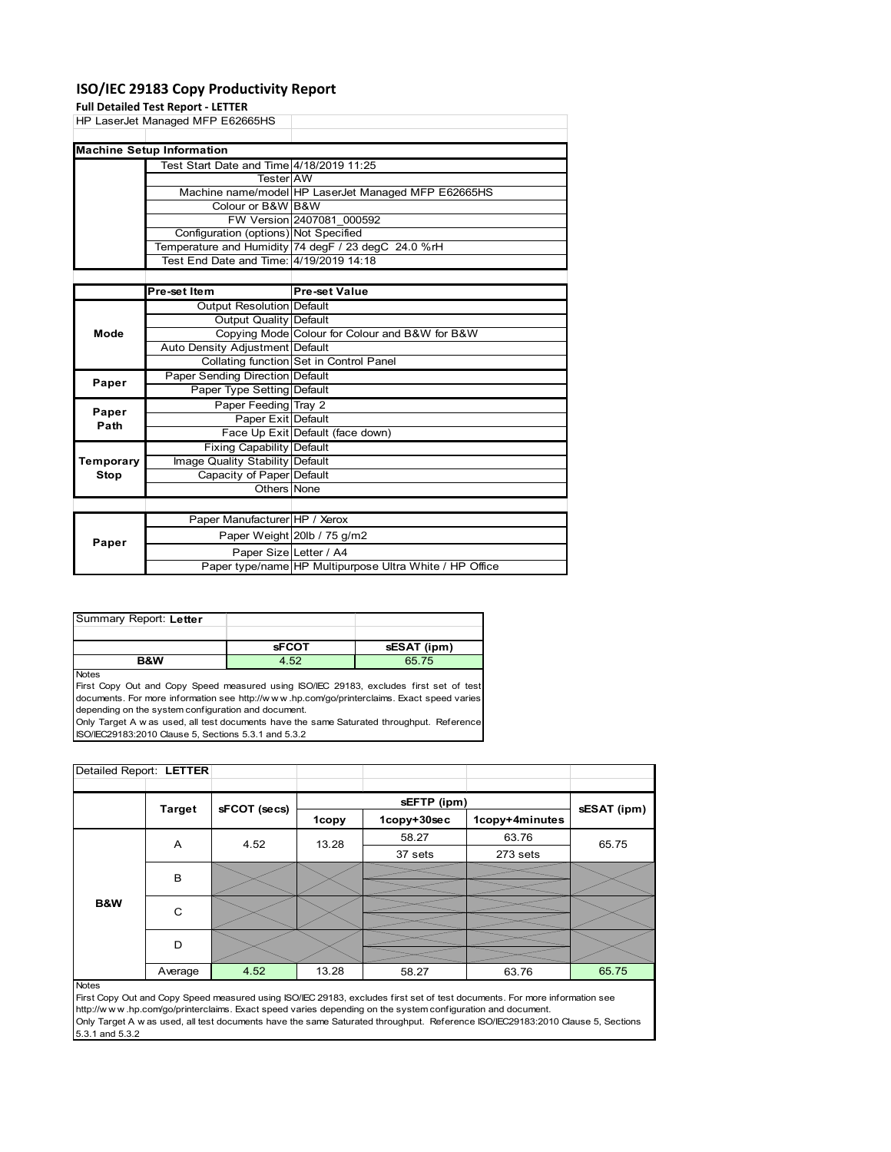# **ISO/IEC 29183 Copy Productivity Report**

### **Full Detailed Test Report ‐ LETTER**

|           | <b>Full Detailed Test Report - LETTER</b> |                                                     |
|-----------|-------------------------------------------|-----------------------------------------------------|
|           | HP LaserJet Managed MFP E62665HS          |                                                     |
|           |                                           |                                                     |
|           | <b>Machine Setup Information</b>          |                                                     |
|           | Test Start Date and Time 4/18/2019 11:25  |                                                     |
|           | <b>Tester</b> AW                          |                                                     |
|           |                                           | Machine name/model HP LaserJet Managed MFP E62665HS |
|           | Colour or B&W B&W                         |                                                     |
|           |                                           | FW Version 2407081 000592                           |
|           | Configuration (options) Not Specified     |                                                     |
|           |                                           | Temperature and Humidity 74 degF / 23 degC 24.0 %rH |
|           | Test End Date and Time: 4/19/2019 14:18   |                                                     |
|           |                                           |                                                     |
|           | Pre-set Item                              | <b>Pre-set Value</b>                                |
|           | Output Resolution Default                 |                                                     |
|           | Output Quality Default                    |                                                     |
| Mode      |                                           | Copying Mode Colour for Colour and B&W for B&W      |
|           | Auto Density Adjustment Default           |                                                     |
|           |                                           | Collating function Set in Control Panel             |
| Paper     | Paper Sending Direction Default           |                                                     |
|           | Paper Type Setting Default                |                                                     |
| Paper     | Paper Feeding Tray 2                      |                                                     |
| Path      | Paper Exit Default                        |                                                     |
|           |                                           | Face Up Exit Default (face down)                    |
|           | <b>Fixing Capability Default</b>          |                                                     |
| Temporary | Image Quality Stability Default           |                                                     |
| Stop      | Capacity of Paper Default                 |                                                     |
|           | Others None                               |                                                     |
|           |                                           |                                                     |
|           | Paper Manufacturer HP / Xerox             |                                                     |
|           |                                           | Paper Weight 20lb / 75 g/m2                         |
| Paper     |                                           |                                                     |

| Summary Report: Letter |              |             |
|------------------------|--------------|-------------|
|                        |              |             |
|                        | <b>sFCOT</b> | sESAT (ipm) |

**B&W** 4.52 65.75

Paper Size Letter / A4

Paper type/name HP Multipurpose Ultra White / HP Office

**Notes** 

First Copy Out and Copy Speed measured using ISO/IEC 29183, excludes first set of test documents. For more information see http://w w w .hp.com/go/printerclaims. Exact speed varies depending on the system configuration and document.

Only Target A w as used, all test documents have the same Saturated throughput. Reference ISO/IEC29183:2010 Clause 5, Sections 5.3.1 and 5.3.2

| Detailed Report: LETTER |               |              |       |             |                |             |
|-------------------------|---------------|--------------|-------|-------------|----------------|-------------|
|                         |               |              |       |             |                |             |
|                         | <b>Target</b> | sFCOT (secs) |       | sEFTP (ipm) |                | sESAT (ipm) |
|                         |               |              | 1copy | 1copy+30sec | 1copy+4minutes |             |
|                         | A<br>4.52     | 13.28        | 58.27 | 63.76       | 65.75          |             |
|                         |               |              |       | 37 sets     | 273 sets       |             |
|                         | B             |              |       |             |                |             |
|                         |               |              |       |             |                |             |
| B&W                     | C             |              |       |             |                |             |
|                         |               |              |       |             |                |             |
|                         | D             |              |       |             |                |             |
|                         |               |              |       |             |                |             |
|                         | Average       | 4.52         | 13.28 | 58.27       | 63.76          | 65.75       |

#### Notes

First Copy Out and Copy Speed measured using ISO/IEC 29183, excludes first set of test documents. For more information see http://w w w .hp.com/go/printerclaims. Exact speed varies depending on the system configuration and document. Only Target A w as used, all test documents have the same Saturated throughput. Reference ISO/IEC29183:2010 Clause 5, Sections 5.3.1 and 5.3.2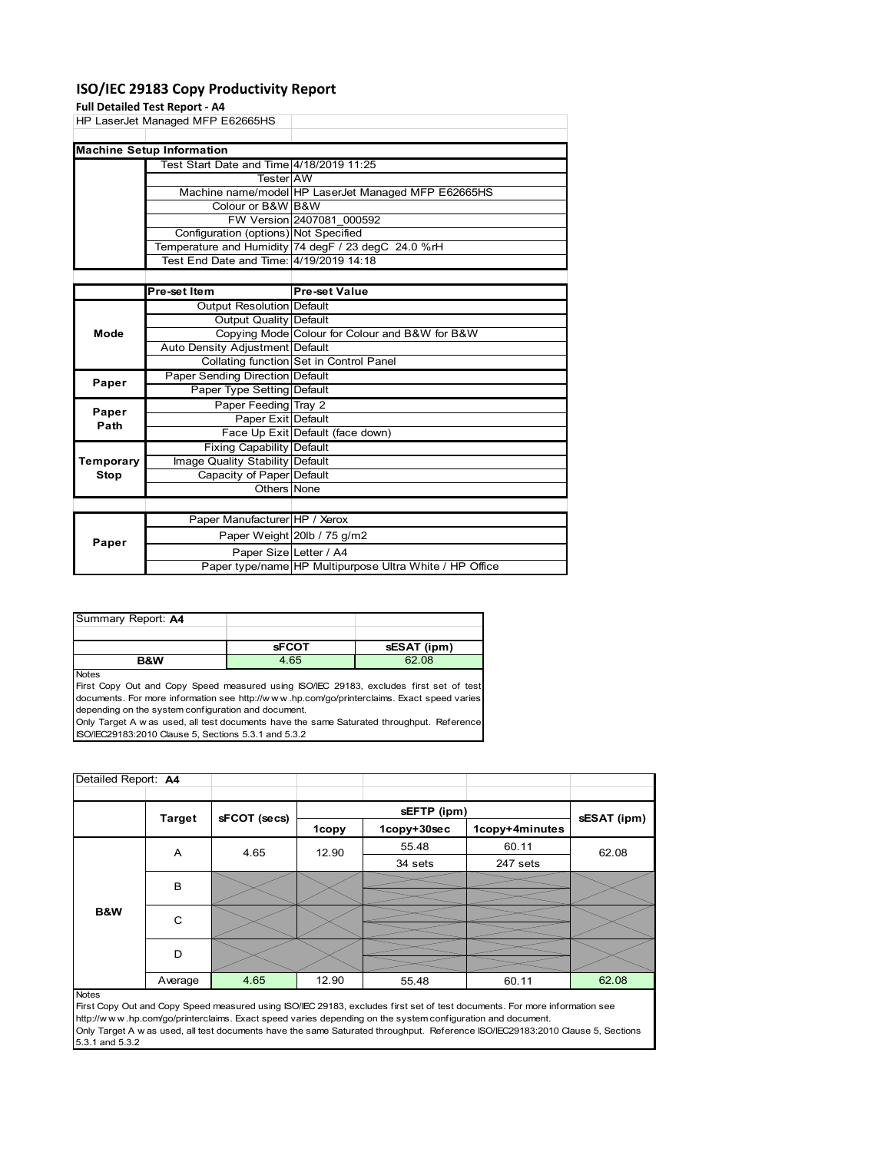# **ISO/IEC 29183 Copy Productivity Report**

# **Full Detailed Test Report ‐ A4**

|             | <b>FUILD CLAIRS TEST DEPOIL - A4</b>     |                                                     |
|-------------|------------------------------------------|-----------------------------------------------------|
|             | HP LaserJet Managed MFP E62665HS         |                                                     |
|             |                                          |                                                     |
|             | <b>Machine Setup Information</b>         |                                                     |
|             | Test Start Date and Time 4/18/2019 11:25 |                                                     |
|             | <b>Tester</b> AW                         |                                                     |
|             |                                          | Machine name/model HP LaserJet Managed MFP E62665HS |
|             | Colour or B&W B&W                        |                                                     |
|             |                                          | FW Version 2407081 000592                           |
|             | Configuration (options) Not Specified    |                                                     |
|             |                                          | Temperature and Humidity 74 degF / 23 degC 24.0 %rH |
|             | Test End Date and Time: 4/19/2019 14:18  |                                                     |
|             |                                          |                                                     |
|             | Pre-set Item                             | <b>Pre-set Value</b>                                |
|             | Output Resolution Default                |                                                     |
|             | Output Quality Default                   |                                                     |
| Mode        |                                          | Copying Mode Colour for Colour and B&W for B&W      |
|             | Auto Density Adjustment Default          |                                                     |
|             |                                          | Collating function Set in Control Panel             |
| Paper       | Paper Sending Direction Default          |                                                     |
|             | Paper Type Setting Default               |                                                     |
| Paper       | Paper Feeding Tray 2                     |                                                     |
| Path        | Paper Exit Default                       |                                                     |
|             |                                          | Face Up Exit Default (face down)                    |
|             | <b>Fixing Capability Default</b>         |                                                     |
| Temporary   | Image Quality Stability Default          |                                                     |
| <b>Stop</b> | Capacity of Paper Default                |                                                     |

| ---   | Capacity of Faper peragne     |                                                         |
|-------|-------------------------------|---------------------------------------------------------|
|       | Others None                   |                                                         |
|       |                               |                                                         |
|       | Paper Manufacturer HP / Xerox |                                                         |
| Paper |                               | Paper Weight 20lb / 75 g/m2                             |
|       | Paper Size Letter / A4        |                                                         |
|       |                               | Paper type/name HP Multipurpose Ultra White / HP Office |

| Summary Report: A4 |              |             |
|--------------------|--------------|-------------|
|                    |              |             |
|                    | <b>sFCOT</b> | sESAT (ipm) |
| <b>B&amp;W</b>     | 4.65         | 62.08       |

Notes

First Copy Out and Copy Speed measured using ISO/IEC 29183, excludes first set of test documents. For more information see http://w w w .hp.com/go/printerclaims. Exact speed varies depending on the system configuration and document.

Only Target A w as used, all test documents have the same Saturated throughput. Reference ISO/IEC29183:2010 Clause 5, Sections 5.3.1 and 5.3.2

| Detailed Report: A4 |               |              |       |             |                |             |
|---------------------|---------------|--------------|-------|-------------|----------------|-------------|
|                     |               |              |       | sEFTP (ipm) |                |             |
|                     | <b>Target</b> | sFCOT (secs) | 1copy | 1copy+30sec | 1copy+4minutes | sESAT (ipm) |
|                     | Α             | 4.65         | 12.90 | 55.48       | 60.11          | 62.08       |
|                     |               |              |       | 34 sets     | 247 sets       |             |
|                     | B             |              |       |             |                |             |
| B&W                 | C             |              |       |             |                |             |
|                     | D             |              |       |             |                |             |
|                     | Average       | 4.65         | 12.90 | 55.48       | 60.11          | 62.08       |
| <b>Notes</b>        |               |              |       |             |                |             |

First Copy Out and Copy Speed measured using ISO/IEC 29183, excludes first set of test documents. For more information see http://w w w .hp.com/go/printerclaims. Exact speed varies depending on the system configuration and document. Only Target A w as used, all test documents have the same Saturated throughput. Reference ISO/IEC29183:2010 Clause 5, Sections 5.3.1 and 5.3.2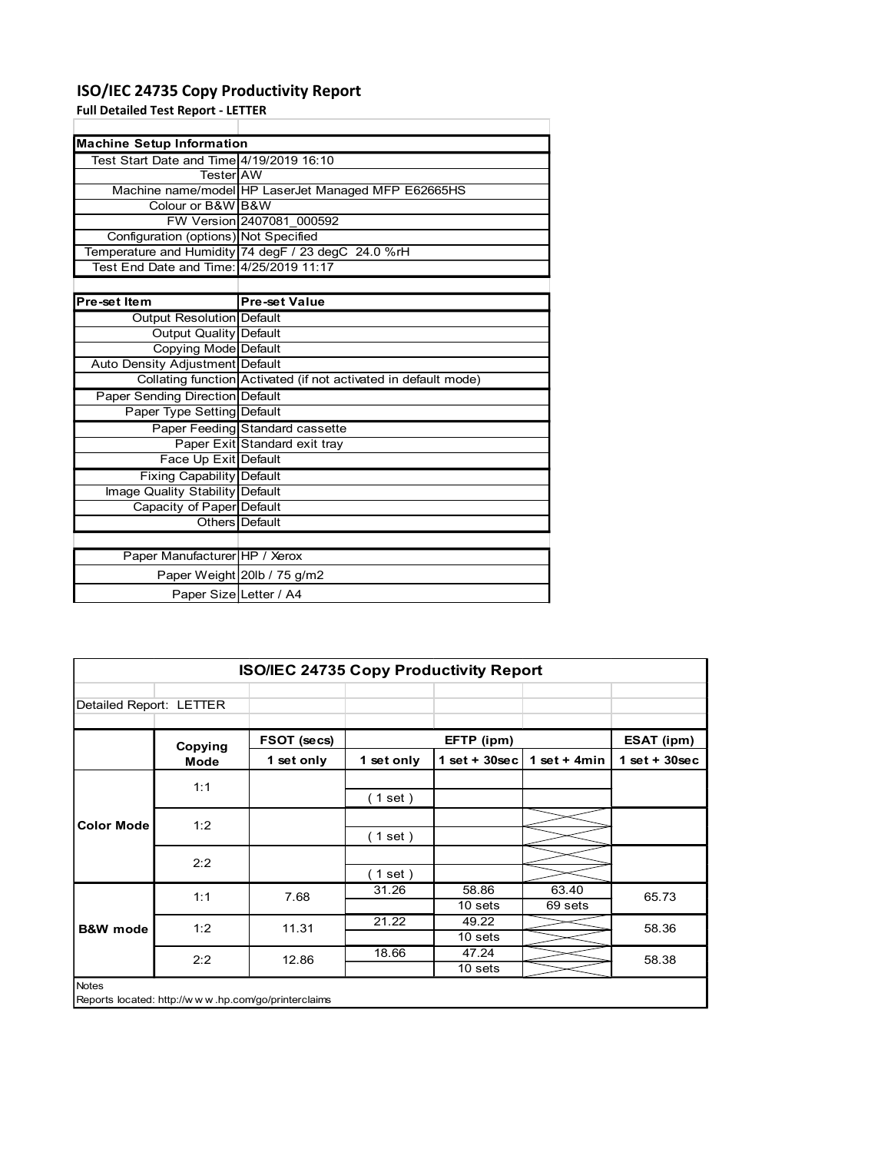# ISO/IEC 24735 Copy Productivity Report

| ISO/IEC 24735 Copy Productivity Report    |                                                                 |
|-------------------------------------------|-----------------------------------------------------------------|
| <b>Full Detailed Test Report - LETTER</b> |                                                                 |
|                                           |                                                                 |
| <b>Machine Setup Information</b>          |                                                                 |
| Test Start Date and Time 4/19/2019 16:10  |                                                                 |
| Tester AW                                 |                                                                 |
|                                           | Machine name/model HP LaserJet Managed MFP E62665HS             |
| Colour or B&W B&W                         |                                                                 |
|                                           | FW Version 2407081 000592                                       |
| Configuration (options) Not Specified     |                                                                 |
|                                           | Temperature and Humidity 74 degF / 23 degC 24.0 %rH             |
| Test End Date and Time: 4/25/2019 11:17   |                                                                 |
|                                           |                                                                 |
| Pre-set Item                              | <b>Pre-set Value</b>                                            |
| Output Resolution Default                 |                                                                 |
| <b>Output Quality Default</b>             |                                                                 |
| Copying Mode Default                      |                                                                 |
| Auto Density Adjustment Default           |                                                                 |
|                                           | Collating function Activated (if not activated in default mode) |
| Paper Sending Direction Default           |                                                                 |
| Paper Type Setting Default                |                                                                 |
|                                           | Paper Feeding Standard cassette                                 |
|                                           | Paper Exit Standard exit tray                                   |
| Face Up Exit Default                      |                                                                 |
| Fixing Capability Default                 |                                                                 |
| Image Quality Stability Default           |                                                                 |
| Capacity of Paper Default                 |                                                                 |
| Others                                    | Default                                                         |
|                                           |                                                                 |
|                                           |                                                                 |
|                                           |                                                                 |
| Paper Manufacturer HP / Xerox             |                                                                 |
|                                           | Paper Weight 20lb / 75 g/m2                                     |
| Paper Size Letter / A4                    |                                                                 |
|                                           |                                                                 |
|                                           |                                                                 |
|                                           |                                                                 |
|                                           |                                                                 |
|                                           | ISO/IEC 24735 Copy Productivity Report                          |

| Image Quality Stability Default |                             |
|---------------------------------|-----------------------------|
| Capacity of Paper Default       |                             |
|                                 | Others Default              |
|                                 |                             |
| Paper Manufacturer HP / Xerox   |                             |
|                                 | Paper Weight 20lb / 75 g/m2 |
| Paper Size Letter / A4          |                             |

|                         | Auto Density Adjustment Default |                                                                 |            |                    |                |                 |
|-------------------------|---------------------------------|-----------------------------------------------------------------|------------|--------------------|----------------|-----------------|
|                         |                                 | Collating function Activated (if not activated in default mode) |            |                    |                |                 |
|                         | Paper Sending Direction Default |                                                                 |            |                    |                |                 |
|                         | Paper Type Setting Default      |                                                                 |            |                    |                |                 |
|                         |                                 | Paper Feeding Standard cassette                                 |            |                    |                |                 |
|                         |                                 | Paper Exit Standard exit tray                                   |            |                    |                |                 |
|                         | Face Up Exit Default            |                                                                 |            |                    |                |                 |
|                         | Fixing Capability Default       |                                                                 |            |                    |                |                 |
|                         | Image Quality Stability Default |                                                                 |            |                    |                |                 |
|                         | Capacity of Paper Default       |                                                                 |            |                    |                |                 |
|                         | <b>Others</b> Default           |                                                                 |            |                    |                |                 |
|                         | Paper Manufacturer HP / Xerox   |                                                                 |            |                    |                |                 |
|                         |                                 |                                                                 |            |                    |                |                 |
|                         |                                 | Paper Weight 20lb / 75 g/m2                                     |            |                    |                |                 |
|                         | Paper Size Letter / A4          |                                                                 |            |                    |                |                 |
|                         |                                 |                                                                 |            |                    |                |                 |
|                         |                                 |                                                                 |            |                    |                |                 |
|                         |                                 |                                                                 |            |                    |                |                 |
|                         |                                 |                                                                 |            |                    |                |                 |
|                         |                                 | ISO/IEC 24735 Copy Productivity Report                          |            |                    |                |                 |
|                         |                                 |                                                                 |            |                    |                |                 |
| Detailed Report: LETTER |                                 |                                                                 |            |                    |                |                 |
|                         |                                 |                                                                 |            |                    |                |                 |
|                         | Copying                         | FSOT (secs)                                                     |            | EFTP (ipm)         |                | ESAT (ipm)      |
|                         | Mode                            | 1 set only                                                      | 1 set only | $1 set + 30 sec$   | 1 set + $4min$ | $1$ set + 30sec |
|                         |                                 |                                                                 |            |                    |                |                 |
|                         |                                 |                                                                 |            |                    |                |                 |
|                         | 1:1                             |                                                                 |            |                    |                |                 |
|                         |                                 |                                                                 | (1 set)    |                    |                |                 |
| <b>Color Mode</b>       | 1:2                             |                                                                 |            |                    |                |                 |
|                         |                                 |                                                                 | (1 set)    |                    |                |                 |
|                         |                                 |                                                                 |            |                    |                |                 |
|                         | 2:2                             |                                                                 | (1 set)    |                    |                |                 |
|                         |                                 |                                                                 | 31.26      | 58.86              | 63.40          |                 |
|                         | 1:1                             | 7.68                                                            |            | 10 sets            | 69 sets        | 65.73           |
| <b>B&amp;W</b> mode     | 1:2                             | 11.31                                                           | 21.22      | 49.22              |                | 58.36           |
|                         |                                 |                                                                 |            | 10 <sub>sets</sub> |                |                 |
|                         | 2:2                             | 12.86                                                           | 18.66      | 47.24              |                | 58.38           |
|                         |                                 |                                                                 |            | 10 <sub>sets</sub> |                |                 |
| Notes                   |                                 |                                                                 |            |                    |                |                 |
|                         |                                 | Reports located: http://www.hp.com/go/printerclaims             |            |                    |                |                 |
|                         |                                 |                                                                 |            |                    |                |                 |
|                         |                                 |                                                                 |            |                    |                |                 |
|                         |                                 |                                                                 |            |                    |                |                 |
|                         |                                 |                                                                 |            |                    |                |                 |
|                         |                                 |                                                                 |            |                    |                |                 |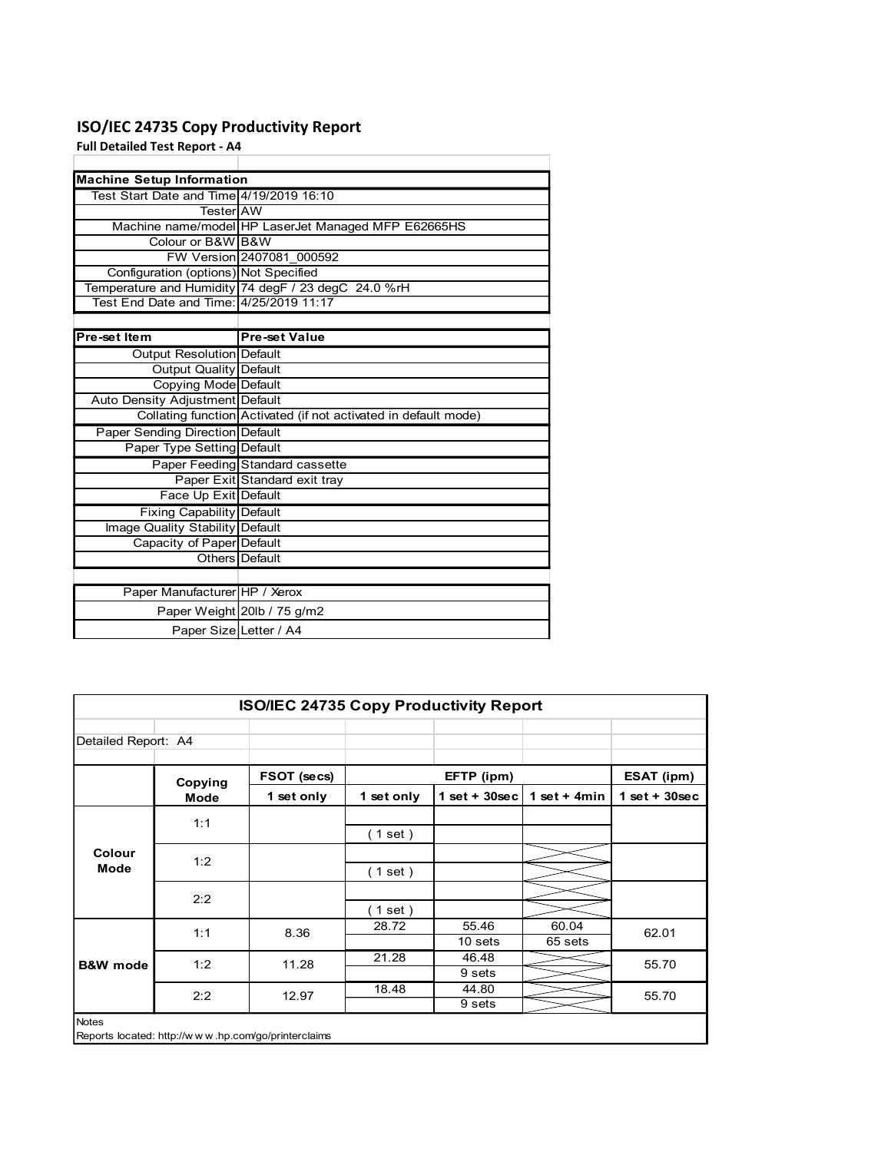# ISO/IEC 24735 Copy Productivity Report

| ISO/IEC 24735 Copy Productivity Report   |                                                                 |
|------------------------------------------|-----------------------------------------------------------------|
|                                          |                                                                 |
| <b>Full Detailed Test Report - A4</b>    |                                                                 |
| <b>Machine Setup Information</b>         |                                                                 |
| Test Start Date and Time 4/19/2019 16:10 |                                                                 |
| Tester AW                                |                                                                 |
|                                          | Machine name/model HP LaserJet Managed MFP E62665HS             |
| Colour or B&W B&W                        |                                                                 |
|                                          | FW Version 2407081 000592                                       |
| Configuration (options) Not Specified    |                                                                 |
|                                          | Temperature and Humidity 74 degF / 23 degC 24.0 %rH             |
| Test End Date and Time: 4/25/2019 11:17  |                                                                 |
|                                          |                                                                 |
| Pre-set Item                             | <b>Pre-set Value</b>                                            |
| Output Resolution Default                |                                                                 |
| <b>Output Quality Default</b>            |                                                                 |
| Copying Mode Default                     |                                                                 |
| Auto Density Adjustment Default          |                                                                 |
|                                          | Collating function Activated (if not activated in default mode) |
| Paper Sending Direction Default          |                                                                 |
| Paper Type Setting Default               |                                                                 |
|                                          | Paper Feeding Standard cassette                                 |
|                                          | Paper Exit Standard exit tray                                   |
| Face Up Exit Default                     |                                                                 |
| Fixing Capability Default                |                                                                 |
|                                          |                                                                 |
|                                          |                                                                 |
| Image Quality Stability Default          |                                                                 |
| Capacity of Paper Default                | Others Default                                                  |
|                                          |                                                                 |
|                                          |                                                                 |
| Paper Manufacturer HP / Xerox            |                                                                 |
|                                          | Paper Weight 20lb / 75 g/m2                                     |
|                                          | Paper Size Letter / A4                                          |
|                                          |                                                                 |
|                                          |                                                                 |
|                                          |                                                                 |
|                                          | ISO/IEC 24735 Copy Productivity Report                          |

|                     | Auto Density Adjustment Default |                                                                 |            |                   |                |                 |
|---------------------|---------------------------------|-----------------------------------------------------------------|------------|-------------------|----------------|-----------------|
|                     |                                 | Collating function Activated (if not activated in default mode) |            |                   |                |                 |
|                     | Paper Sending Direction Default |                                                                 |            |                   |                |                 |
|                     | Paper Type Setting Default      |                                                                 |            |                   |                |                 |
|                     |                                 | Paper Feeding Standard cassette                                 |            |                   |                |                 |
|                     |                                 | Paper Exit Standard exit tray                                   |            |                   |                |                 |
|                     | Face Up Exit Default            |                                                                 |            |                   |                |                 |
|                     | Fixing Capability Default       |                                                                 |            |                   |                |                 |
|                     | Image Quality Stability Default |                                                                 |            |                   |                |                 |
|                     | Capacity of Paper Default       |                                                                 |            |                   |                |                 |
|                     | Others Default                  |                                                                 |            |                   |                |                 |
|                     |                                 |                                                                 |            |                   |                |                 |
|                     | Paper Manufacturer HP / Xerox   |                                                                 |            |                   |                |                 |
|                     | Paper Weight 20lb / 75 g/m2     |                                                                 |            |                   |                |                 |
|                     | Paper Size Letter / A4          |                                                                 |            |                   |                |                 |
|                     |                                 |                                                                 |            |                   |                |                 |
|                     |                                 |                                                                 |            |                   |                |                 |
|                     |                                 |                                                                 |            |                   |                |                 |
|                     |                                 |                                                                 |            |                   |                |                 |
|                     |                                 | ISO/IEC 24735 Copy Productivity Report                          |            |                   |                |                 |
|                     |                                 |                                                                 |            |                   |                |                 |
| Detailed Report: A4 |                                 |                                                                 |            |                   |                |                 |
|                     |                                 |                                                                 |            |                   |                |                 |
|                     |                                 |                                                                 |            |                   |                |                 |
|                     |                                 | FSOT (secs)                                                     |            | EFTP (ipm)        |                | ESAT (ipm)      |
|                     | Copying                         | 1 set only                                                      | 1 set only | $1$ set + 30sec   | 1 set + $4min$ | $1$ set + 30sec |
|                     | <b>Mode</b>                     |                                                                 |            |                   |                |                 |
|                     | 1:1                             |                                                                 |            |                   |                |                 |
|                     |                                 |                                                                 | (1 set)    |                   |                |                 |
| Colour              | 1:2                             |                                                                 |            |                   |                |                 |
| Mode                |                                 |                                                                 | (1 set)    |                   |                |                 |
|                     |                                 |                                                                 |            |                   |                |                 |
|                     | 2:2                             |                                                                 | (1 set)    |                   |                |                 |
|                     |                                 |                                                                 | 28.72      | 55.46             | 60.04          |                 |
|                     | 1:1                             | 8.36                                                            |            | 10 sets           | 65 sets        | 62.01           |
|                     |                                 |                                                                 | 21.28      | 46.48             |                |                 |
| <b>B&amp;W</b> mode | 1:2                             | 11.28                                                           |            | 9 <sub>sets</sub> |                | 55.70           |
|                     |                                 |                                                                 | 18.48      | 44.80             |                |                 |
|                     | 2:2                             | 12.97                                                           |            | 9 <sub>sets</sub> |                | 55.70           |
| Notes               |                                 |                                                                 |            |                   |                |                 |
|                     |                                 | Reports located: http://www.hp.com/go/printerclaims             |            |                   |                |                 |
|                     |                                 |                                                                 |            |                   |                |                 |
|                     |                                 |                                                                 |            |                   |                |                 |
|                     |                                 |                                                                 |            |                   |                |                 |
|                     |                                 |                                                                 |            |                   |                |                 |
|                     |                                 |                                                                 |            |                   |                |                 |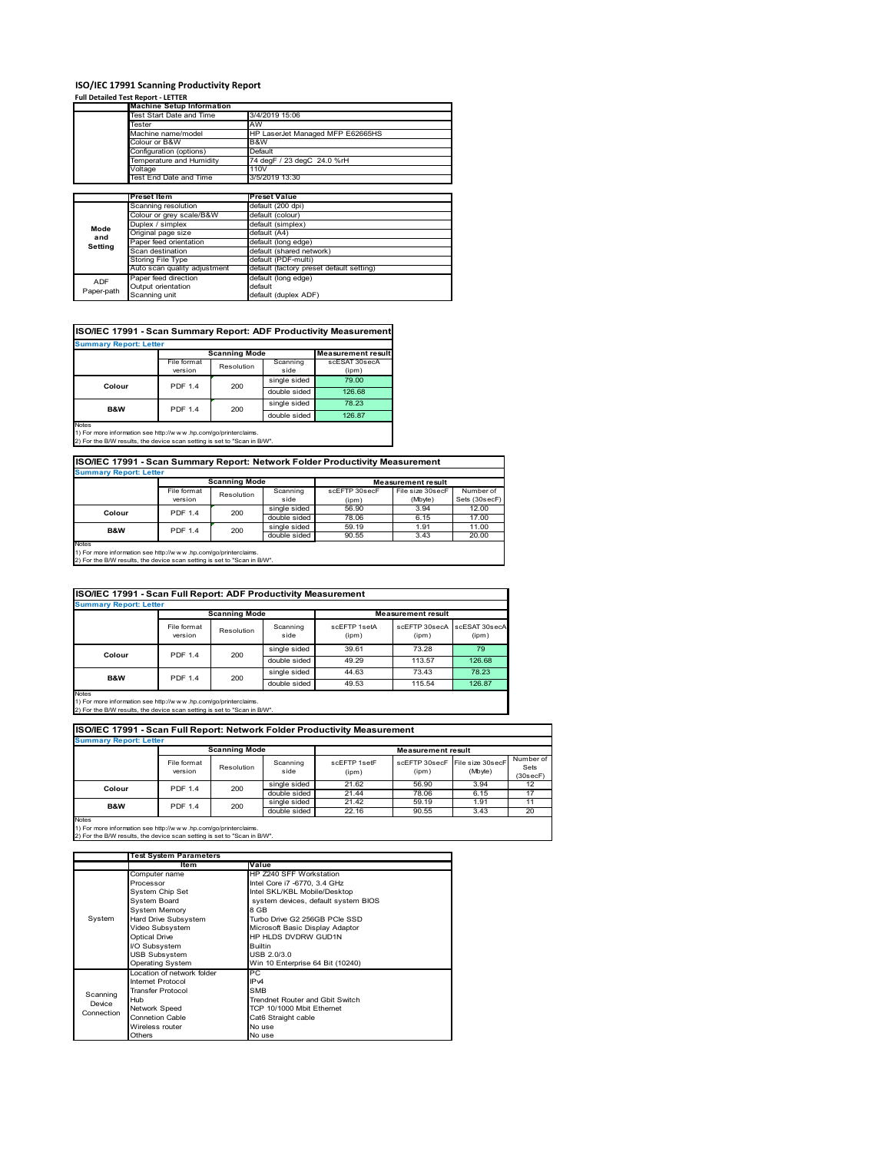### **ISO/IEC 17991 Scanning Productivity Report**

### **Full Detailed Test Report ‐ LETTER**

|            | <b>Machine Setup Information</b> |                                          |
|------------|----------------------------------|------------------------------------------|
|            | Test Start Date and Time         | 3/4/2019 15:06                           |
|            | Tester                           | AW                                       |
|            | Machine name/model               | HP LaserJet Managed MFP E62665HS         |
|            | Colour or B&W                    | B&W                                      |
|            | Configuration (options)          | Default                                  |
|            | Temperature and Humidity         | 74 degF / 23 degC 24.0 %rH               |
|            | Voltage                          | 110V                                     |
|            | Test End Date and Time           | 3/5/2019 13:30                           |
|            |                                  |                                          |
|            | <b>Preset Item</b>               | <b>Preset Value</b>                      |
|            | Scanning resolution              | default (200 dpi)                        |
|            | Colour or grey scale/B&W         | default (colour)                         |
| Mode       | Duplex / simplex                 | default (simplex)                        |
| and        | Original page size               | default (A4)                             |
| Setting    | Paper feed orientation           | default (long edge)                      |
|            | Scan destination                 | default (shared network)                 |
|            | Storing File Type                | default (PDF-multi)                      |
|            | Auto scan quality adjustment     | default (factory preset default setting) |
| <b>ADF</b> | Paper feed direction             | default (long edge)                      |
|            | Output orientation               | default                                  |
| Paper-path | Scanning unit                    | default (duplex ADF)                     |

### **ISO/IEC 17991 - Scan Summary Report: ADF Productivity Measurement**

| <b>Summary Report: Letter</b>                                                                   |                | <b>Scanning Mode</b> |              | <b>Measurement result</b> |
|-------------------------------------------------------------------------------------------------|----------------|----------------------|--------------|---------------------------|
|                                                                                                 |                |                      |              |                           |
|                                                                                                 | File format    | Resolution           | Scanning     | scESAT 30secA             |
|                                                                                                 | version        |                      | side         | (ipm)                     |
| Colour                                                                                          | <b>PDF 1.4</b> | 200                  | single sided | 79.00                     |
|                                                                                                 |                |                      | double sided | 126.68                    |
| <b>B&amp;W</b>                                                                                  | <b>PDF 1.4</b> | 200                  | single sided | 78.23                     |
|                                                                                                 |                |                      | double sided | 126.87                    |
| <b>Notes</b><br>45 For access to former than a such than (from contract and an industrial basic |                |                      |              |                           |

1) For more information see http://w w w .hp.com/go/printerclaims. 2) For the B/W results, the device scan setting is set to "Scan in B/W".

### **ISO/IEC 17991 - Scan Summary Report: Network Folder Productivity Measurement**

| <b>Summary Report: Letter</b> |                |                      |              |               |                           |               |
|-------------------------------|----------------|----------------------|--------------|---------------|---------------------------|---------------|
|                               |                | <b>Scanning Mode</b> |              |               | <b>Measurement result</b> |               |
|                               | File format    | Resolution           | Scanning     | scEFTP 30secF | File size 30secF          | Number of     |
|                               | version        |                      | side         | (ipm)         | (Mbyte)                   | Sets (30secF) |
| Colour                        | <b>PDF 1.4</b> | 200                  | single sided | 56.90         | 3.94                      | 12.00         |
|                               |                |                      | double sided | 78.06         | 6.15                      | 17.00         |
| B&W                           | <b>PDF 1.4</b> | 200                  | single sided | 59.19         | 1.91                      | 11.00         |
|                               |                |                      | double sided | 90.55         | 3.43                      | 20.00         |
| Notes                         |                |                      |              |               |                           |               |

Notes 1) For more information see http://w w w .hp.com/go/printerclaims. 2) For the B/W results, the device scan setting is set to "Scan in B/W".

#### File format version Resolution Scanning side scEFTP 1setA (ipm) scEFTP 30secA (ipm) scESAT 30secA (ipm) single sided 39.61 73.28 79 double sided 49.29 113.57 126.68 single sided 44.63 73.43 78.23<br>double sided 49.53 115.54 126.87 double sid **ISO/IEC 17991 - Scan Full Report: ADF Productivity Measurement Immary Report: Letter Measurement** re **Scanning Mode Colour** PDF 1.4 200 **B&W** PDF 1.4 200

Notes 1) For more information see http://w w w .hp.com/go/printerclaims. 2) For the B/W results, the device scan setting is set to "Scan in B/W".

| <b>Summary Report: Letter</b> |                        |                      |                  |                       |                           |                             |                               |
|-------------------------------|------------------------|----------------------|------------------|-----------------------|---------------------------|-----------------------------|-------------------------------|
|                               |                        | <b>Scanning Mode</b> |                  |                       | <b>Measurement result</b> |                             |                               |
|                               | File format<br>version | Resolution           | Scanning<br>side | scFFTP 1setF<br>(ipm) | scFFTP 30secF<br>(ipm)    | File size 30secF<br>(Mbyte) | Number of<br>Sets<br>(30secF) |
| Colour                        | <b>PDF 1.4</b>         | 200                  | single sided     | 21.62                 | 56.90                     | 3.94                        | 12                            |
|                               |                        |                      | double sided     | 21.44                 | 78.06                     | 6.15                        | 17                            |
| <b>B&amp;W</b>                | <b>PDF 1.4</b>         | 200                  | single sided     | 21.42                 | 59.19                     | 1.91                        | 11                            |
|                               |                        |                      | double sided     | 22.16                 | 90.55                     | 3.43                        | 20                            |

1) For more information see http://w w w .hp.com/go/printerclaims. 2) For the B/W results, the device scan setting is set to "Scan in B/W".

|            | <b>Test System Parameters</b> |                                     |
|------------|-------------------------------|-------------------------------------|
|            | Item                          | Value                               |
|            | Computer name                 | HP Z240 SFF Workstation             |
|            | Processor                     | Intel Core i7 -6770, 3.4 GHz        |
|            | System Chip Set               | Intel SKL/KBL Mobile/Desktop        |
|            | System Board                  | system devices, default system BIOS |
|            | <b>System Memory</b>          | 8 GB                                |
| System     | Hard Drive Subsystem          | Turbo Drive G2 256GB PCIe SSD       |
|            | Video Subsystem               | Microsoft Basic Display Adaptor     |
|            | <b>Optical Drive</b>          | HP HLDS DVDRW GUD1N                 |
|            | I/O Subsystem                 | <b>Builtin</b>                      |
|            | <b>USB Subsystem</b>          | USB 2.0/3.0                         |
|            | <b>Operating System</b>       | Win 10 Enterprise 64 Bit (10240)    |
|            | Location of network folder    | PC                                  |
|            | Internet Protocol             | IP <sub>v4</sub>                    |
| Scanning   | <b>Transfer Protocol</b>      | <b>SMB</b>                          |
| Device     | Hub                           | Trendnet Router and Gbit Switch     |
| Connection | <b>Network Speed</b>          | TCP 10/1000 Mbit Ethernet           |
|            | <b>Connetion Cable</b>        | Cat6 Straight cable                 |
|            | Wireless router               | No use                              |
|            | Others                        | No use                              |